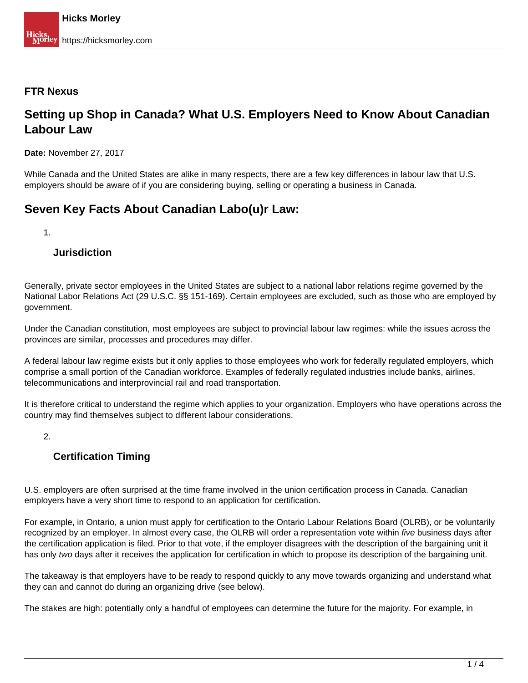#### **FTR Nexus**

## **Setting up Shop in Canada? What U.S. Employers Need to Know About Canadian Labour Law**

**Date:** November 27, 2017

While Canada and the United States are alike in many respects, there are a few key differences in labour law that U.S. employers should be aware of if you are considering buying, selling or operating a business in Canada.

# **Seven Key Facts About Canadian Labo(u)r Law:**

1.

#### **Jurisdiction**

Generally, private sector employees in the United States are subject to a national labor relations regime governed by the National Labor Relations Act (29 U.S.C. §§ 151-169). Certain employees are excluded, such as those who are employed by government.

Under the Canadian constitution, most employees are subject to provincial labour law regimes: while the issues across the provinces are similar, processes and procedures may differ.

A federal labour law regime exists but it only applies to those employees who work for federally regulated employers, which comprise a small portion of the Canadian workforce. Examples of federally regulated industries include banks, airlines, telecommunications and interprovincial rail and road transportation.

It is therefore critical to understand the regime which applies to your organization. Employers who have operations across the country may find themselves subject to different labour considerations.

2.

## **Certification Timing**

U.S. employers are often surprised at the time frame involved in the union certification process in Canada. Canadian employers have a very short time to respond to an application for certification.

For example, in Ontario, a union must apply for certification to the Ontario Labour Relations Board (OLRB), or be voluntarily recognized by an employer. In almost every case, the OLRB will order a representation vote within *five* business days after the certification application is filed. Prior to that vote, if the employer disagrees with the description of the bargaining unit it has only two days after it receives the application for certification in which to propose its description of the bargaining unit.

The takeaway is that employers have to be ready to respond quickly to any move towards organizing and understand what they can and cannot do during an organizing drive (see below).

The stakes are high: potentially only a handful of employees can determine the future for the majority. For example, in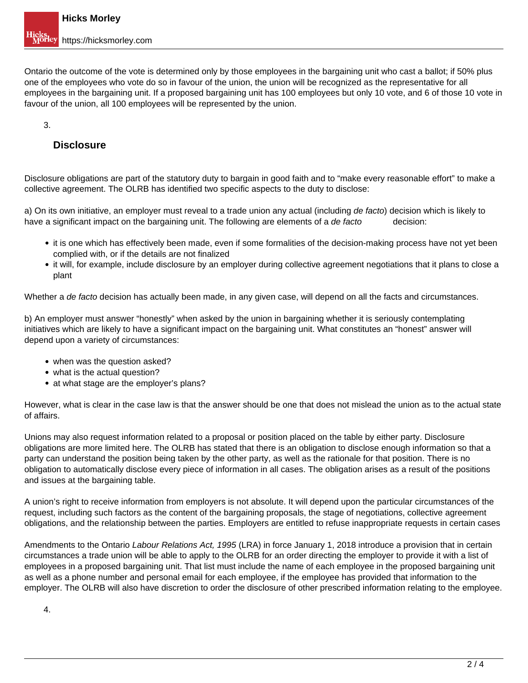Ontario the outcome of the vote is determined only by those employees in the bargaining unit who cast a ballot; if 50% plus one of the employees who vote do so in favour of the union, the union will be recognized as the representative for all employees in the bargaining unit. If a proposed bargaining unit has 100 employees but only 10 vote, and 6 of those 10 vote in favour of the union, all 100 employees will be represented by the union.

3.

### **Disclosure**

Disclosure obligations are part of the statutory duty to bargain in good faith and to "make every reasonable effort" to make a collective agreement. The OLRB has identified two specific aspects to the duty to disclose:

a) On its own initiative, an employer must reveal to a trade union any actual (including de facto) decision which is likely to have a significant impact on the bargaining unit. The following are elements of a de facto decision:

- it is one which has effectively been made, even if some formalities of the decision-making process have not yet been complied with, or if the details are not finalized
- it will, for example, include disclosure by an employer during collective agreement negotiations that it plans to close a plant

Whether a de facto decision has actually been made, in any given case, will depend on all the facts and circumstances.

b) An employer must answer "honestly" when asked by the union in bargaining whether it is seriously contemplating initiatives which are likely to have a significant impact on the bargaining unit. What constitutes an "honest" answer will depend upon a variety of circumstances:

- when was the question asked?
- what is the actual question?
- at what stage are the employer's plans?

However, what is clear in the case law is that the answer should be one that does not mislead the union as to the actual state of affairs.

Unions may also request information related to a proposal or position placed on the table by either party. Disclosure obligations are more limited here. The OLRB has stated that there is an obligation to disclose enough information so that a party can understand the position being taken by the other party, as well as the rationale for that position. There is no obligation to automatically disclose every piece of information in all cases. The obligation arises as a result of the positions and issues at the bargaining table.

A union's right to receive information from employers is not absolute. It will depend upon the particular circumstances of the request, including such factors as the content of the bargaining proposals, the stage of negotiations, collective agreement obligations, and the relationship between the parties. Employers are entitled to refuse inappropriate requests in certain cases

Amendments to the Ontario Labour Relations Act, 1995 (LRA) in force January 1, 2018 introduce a provision that in certain circumstances a trade union will be able to apply to the OLRB for an order directing the employer to provide it with a list of employees in a proposed bargaining unit. That list must include the name of each employee in the proposed bargaining unit as well as a phone number and personal email for each employee, if the employee has provided that information to the employer. The OLRB will also have discretion to order the disclosure of other prescribed information relating to the employee.

4.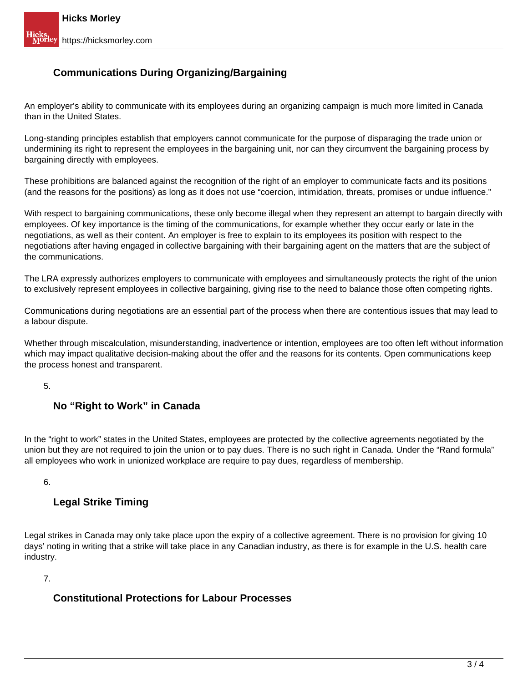## **Communications During Organizing/Bargaining**

An employer's ability to communicate with its employees during an organizing campaign is much more limited in Canada than in the United States.

Long-standing principles establish that employers cannot communicate for the purpose of disparaging the trade union or undermining its right to represent the employees in the bargaining unit, nor can they circumvent the bargaining process by bargaining directly with employees.

These prohibitions are balanced against the recognition of the right of an employer to communicate facts and its positions (and the reasons for the positions) as long as it does not use "coercion, intimidation, threats, promises or undue influence."

With respect to bargaining communications, these only become illegal when they represent an attempt to bargain directly with employees. Of key importance is the timing of the communications, for example whether they occur early or late in the negotiations, as well as their content. An employer is free to explain to its employees its position with respect to the negotiations after having engaged in collective bargaining with their bargaining agent on the matters that are the subject of the communications.

The LRA expressly authorizes employers to communicate with employees and simultaneously protects the right of the union to exclusively represent employees in collective bargaining, giving rise to the need to balance those often competing rights.

Communications during negotiations are an essential part of the process when there are contentious issues that may lead to a labour dispute.

Whether through miscalculation, misunderstanding, inadvertence or intention, employees are too often left without information which may impact qualitative decision-making about the offer and the reasons for its contents. Open communications keep the process honest and transparent.

5.

## **No "Right to Work" in Canada**

In the "right to work" states in the United States, employees are protected by the collective agreements negotiated by the union but they are not required to join the union or to pay dues. There is no such right in Canada. Under the "Rand formula" all employees who work in unionized workplace are require to pay dues, regardless of membership.

6.

### **Legal Strike Timing**

Legal strikes in Canada may only take place upon the expiry of a collective agreement. There is no provision for giving 10 days' noting in writing that a strike will take place in any Canadian industry, as there is for example in the U.S. health care industry.

7.

### **Constitutional Protections for Labour Processes**